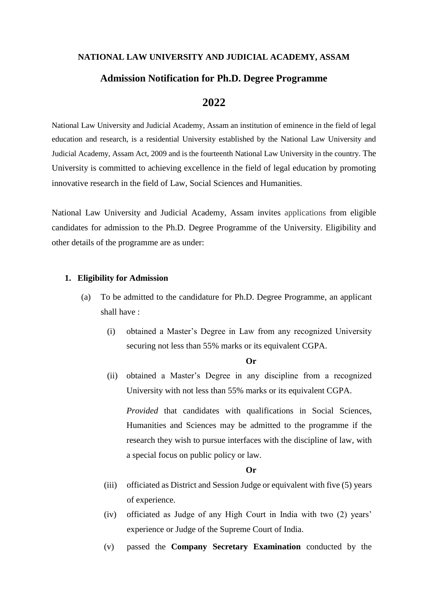#### **NATIONAL LAW UNIVERSITY AND JUDICIAL ACADEMY, ASSAM**

# **Admission Notification for Ph.D. Degree Programme**

# **2022**

National Law University and Judicial Academy, Assam an institution of eminence in the field of legal education and research, is a residential University established by the National Law University and Judicial Academy, Assam Act, 2009 and is the fourteenth National Law University in the country. The University is committed to achieving excellence in the field of legal education by promoting innovative research in the field of Law, Social Sciences and Humanities.

National Law University and Judicial Academy, Assam invites applications from eligible candidates for admission to the Ph.D. Degree Programme of the University. Eligibility and other details of the programme are as under:

#### **1. Eligibility for Admission**

- (a) To be admitted to the candidature for Ph.D. Degree Programme, an applicant shall have :
	- (i) obtained a Master's Degree in Law from any recognized University securing not less than 55% marks or its equivalent CGPA.

#### **Or**

(ii) obtained a Master's Degree in any discipline from a recognized University with not less than 55% marks or its equivalent CGPA.

*Provided* that candidates with qualifications in Social Sciences, Humanities and Sciences may be admitted to the programme if the research they wish to pursue interfaces with the discipline of law, with a special focus on public policy or law.

#### **Or**

- (iii) officiated as District and Session Judge or equivalent with five (5) years of experience.
- (iv) officiated as Judge of any High Court in India with two (2) years' experience or Judge of the Supreme Court of India.
- (v) passed the **Company Secretary Examination** conducted by the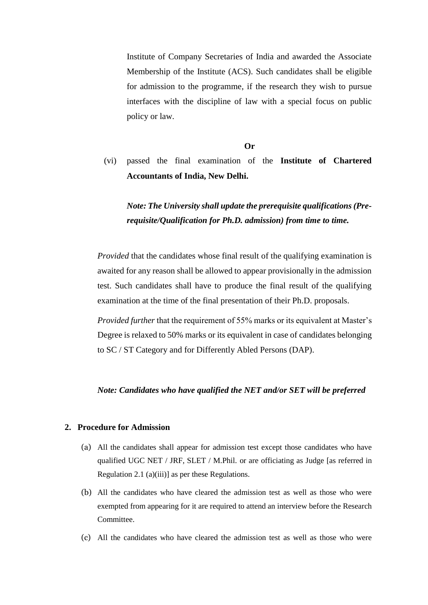Institute of Company Secretaries of India and awarded the Associate Membership of the Institute (ACS). Such candidates shall be eligible for admission to the programme, if the research they wish to pursue interfaces with the discipline of law with a special focus on public policy or law.

**Or**

(vi) passed the final examination of the **Institute of Chartered Accountants of India, New Delhi.**

*Note: The University shall update the prerequisite qualifications (Prerequisite/Qualification for Ph.D. admission) from time to time.* 

*Provided* that the candidates whose final result of the qualifying examination is awaited for any reason shall be allowed to appear provisionally in the admission test. Such candidates shall have to produce the final result of the qualifying examination at the time of the final presentation of their Ph.D. proposals.

*Provided further* that the requirement of 55% marks or its equivalent at Master's Degree is relaxed to 50% marks or its equivalent in case of candidates belonging to SC / ST Category and for Differently Abled Persons (DAP).

#### *Note: Candidates who have qualified the NET and/or SET will be preferred*

#### **2. Procedure for Admission**

- (a) All the candidates shall appear for admission test except those candidates who have qualified UGC NET / JRF, SLET / M.Phil. or are officiating as Judge [as referred in Regulation 2.1 (a)(iii)] as per these Regulations.
- (b) All the candidates who have cleared the admission test as well as those who were exempted from appearing for it are required to attend an interview before the Research Committee.
- (c) All the candidates who have cleared the admission test as well as those who were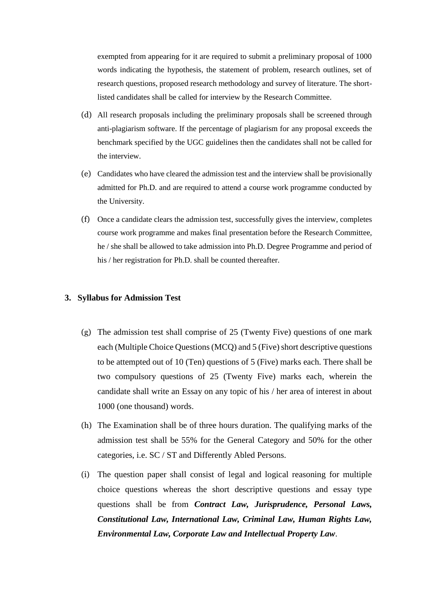exempted from appearing for it are required to submit a preliminary proposal of 1000 words indicating the hypothesis, the statement of problem, research outlines, set of research questions, proposed research methodology and survey of literature. The shortlisted candidates shall be called for interview by the Research Committee.

- (d) All research proposals including the preliminary proposals shall be screened through anti-plagiarism software. If the percentage of plagiarism for any proposal exceeds the benchmark specified by the UGC guidelines then the candidates shall not be called for the interview.
- (e) Candidates who have cleared the admission test and the interview shall be provisionally admitted for Ph.D. and are required to attend a course work programme conducted by the University.
- (f) Once a candidate clears the admission test, successfully gives the interview, completes course work programme and makes final presentation before the Research Committee, he / she shall be allowed to take admission into Ph.D. Degree Programme and period of his / her registration for Ph.D. shall be counted thereafter.

#### **3. Syllabus for Admission Test**

- (g) The admission test shall comprise of 25 (Twenty Five) questions of one mark each (Multiple Choice Questions (MCQ) and 5 (Five) short descriptive questions to be attempted out of 10 (Ten) questions of 5 (Five) marks each. There shall be two compulsory questions of 25 (Twenty Five) marks each, wherein the candidate shall write an Essay on any topic of his / her area of interest in about 1000 (one thousand) words.
- (h) The Examination shall be of three hours duration. The qualifying marks of the admission test shall be 55% for the General Category and 50% for the other categories, i.e. SC / ST and Differently Abled Persons.
- (i) The question paper shall consist of legal and logical reasoning for multiple choice questions whereas the short descriptive questions and essay type questions shall be from *Contract Law, Jurisprudence, Personal Laws, Constitutional Law, International Law, Criminal Law, Human Rights Law, Environmental Law, Corporate Law and Intellectual Property Law*.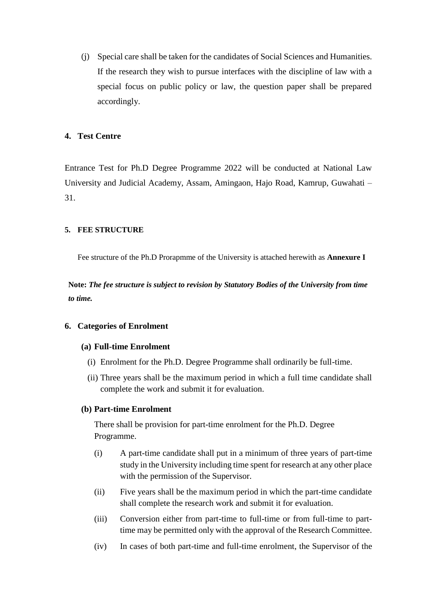(j) Special care shall be taken for the candidates of Social Sciences and Humanities. If the research they wish to pursue interfaces with the discipline of law with a special focus on public policy or law, the question paper shall be prepared accordingly.

# **4. Test Centre**

Entrance Test for Ph.D Degree Programme 2022 will be conducted at National Law University and Judicial Academy, Assam, Amingaon, Hajo Road, Kamrup, Guwahati – 31.

### **5. FEE STRUCTURE**

Fee structure of the Ph.D Prorapmme of the University is attached herewith as **Annexure I**

**Note:** *The fee structure is subject to revision by Statutory Bodies of the University from time to time.*

### **6. Categories of Enrolment**

### **(a) Full-time Enrolment**

- (i) Enrolment for the Ph.D. Degree Programme shall ordinarily be full-time.
- (ii) Three years shall be the maximum period in which a full time candidate shall complete the work and submit it for evaluation.

### **(b) Part-time Enrolment**

There shall be provision for part-time enrolment for the Ph.D. Degree Programme.

- (i) A part-time candidate shall put in a minimum of three years of part-time study in the University including time spent for research at any other place with the permission of the Supervisor.
- (ii) Five years shall be the maximum period in which the part-time candidate shall complete the research work and submit it for evaluation.
- (iii) Conversion either from part-time to full-time or from full-time to parttime may be permitted only with the approval of the Research Committee.
- (iv) In cases of both part-time and full-time enrolment, the Supervisor of the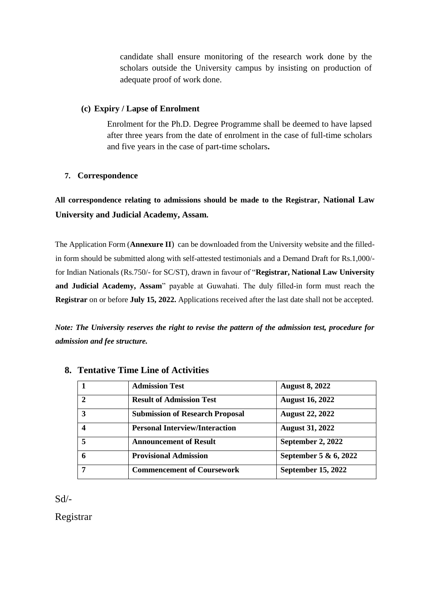candidate shall ensure monitoring of the research work done by the scholars outside the University campus by insisting on production of adequate proof of work done.

# **(c) Expiry / Lapse of Enrolment**

Enrolment for the Ph.D. Degree Programme shall be deemed to have lapsed after three years from the date of enrolment in the case of full-time scholars and five years in the case of part-time scholars**.**

# **7. Correspondence**

**All correspondence relating to admissions should be made to the Registrar, National Law University and Judicial Academy, Assam.** 

The Application Form (**Annexure II**) can be downloaded from the University website and the filledin form should be submitted along with self-attested testimonials and a Demand Draft for Rs.1,000/ for Indian Nationals (Rs.750/- for SC/ST), drawn in favour of "**Registrar, National Law University and Judicial Academy, Assam**" payable at Guwahati. The duly filled-in form must reach the **Registrar** on or before **July 15, 2022.** Applications received after the last date shall not be accepted.

*Note: The University reserves the right to revise the pattern of the admission test, procedure for admission and fee structure.* 

|               | <b>Admission Test</b>                  | <b>August 8, 2022</b>     |
|---------------|----------------------------------------|---------------------------|
| $\mathcal{D}$ | <b>Result of Admission Test</b>        | <b>August 16, 2022</b>    |
| 3             | <b>Submission of Research Proposal</b> | <b>August 22, 2022</b>    |
|               | <b>Personal Interview/Interaction</b>  | <b>August 31, 2022</b>    |
| 5             | <b>Announcement of Result</b>          | September 2, 2022         |
| 6             | <b>Provisional Admission</b>           | September 5 & 6, 2022     |
| 7             | <b>Commencement of Coursework</b>      | <b>September 15, 2022</b> |

# **8. Tentative Time Line of Activities**

Sd/-

Registrar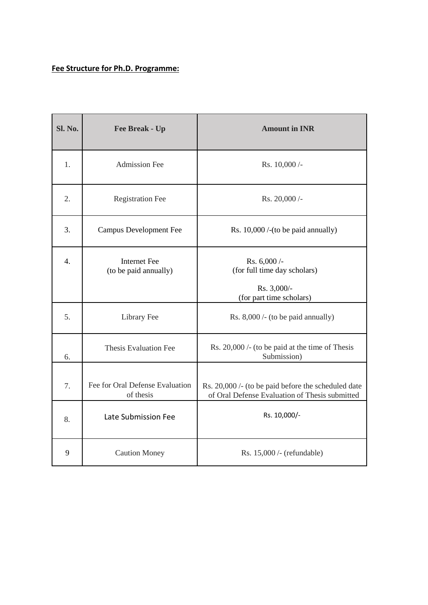# **Fee Structure for Ph.D. Programme:**

| Sl. No.          | Fee Break - Up                               | <b>Amount in INR</b>                                                                                  |
|------------------|----------------------------------------------|-------------------------------------------------------------------------------------------------------|
| 1.               | <b>Admission Fee</b>                         | Rs. 10,000 /-                                                                                         |
| 2.               | <b>Registration Fee</b>                      | Rs. 20,000 /-                                                                                         |
| 3.               | <b>Campus Development Fee</b>                | Rs. $10,000$ /-(to be paid annually)                                                                  |
| $\overline{4}$ . | <b>Internet Fee</b><br>(to be paid annually) | Rs. 6,000 /-<br>(for full time day scholars)<br>Rs. 3,000/-<br>(for part time scholars)               |
| 5.               | Library Fee                                  | Rs. $8,000$ /- (to be paid annually)                                                                  |
| 6.               | <b>Thesis Evaluation Fee</b>                 | Rs. 20,000 /- (to be paid at the time of Thesis<br>Submission)                                        |
| 7.               | Fee for Oral Defense Evaluation<br>of thesis | Rs. 20,000 /- (to be paid before the scheduled date<br>of Oral Defense Evaluation of Thesis submitted |
| 8.               | Late Submission Fee                          | Rs. 10,000/-                                                                                          |
| 9                | <b>Caution Money</b>                         | Rs. 15,000 /- (refundable)                                                                            |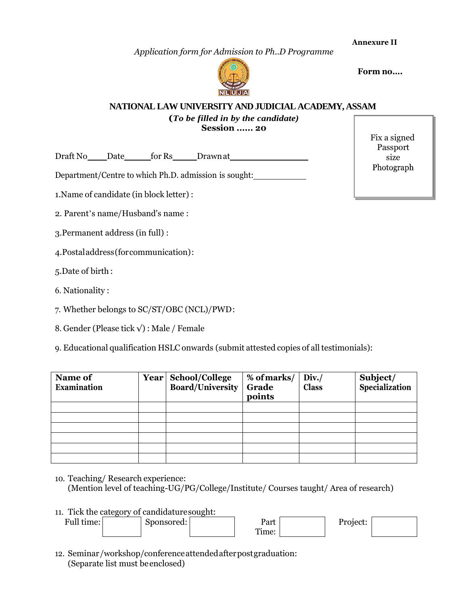**Annexure II**

*Application form for Admission to Ph..D Programme*



**Logo Form no….**

#### **NATIONAL LAW UNIVERSITY AND JUDICIAL ACADEMY, ASSAM**

# **(***To be filled in by the candidate)* **Session ...... 20**

Draft No Date for Rs Drawnat

Department/Centre to which Ph.D. admission is sought:

1.Name of candidate (in block letter) :

2. Parent's name/Husband's name :

3.Permanent address (in full) :

4.Postaladdress(forcommunication):

5.Date of birth :

6. Nationality :

7. Whether belongs to SC/ST/OBC (NCL)/PWD:

8. Gender (Please tick √) : Male / Female

9. Educational qualification HSLC onwards (submit attested copies of all testimonials):

| Name of<br><b>Examination</b> | Year School/College<br><b>Board/University</b> | % of marks/<br>Grade<br>points | Div.<br><b>Class</b> | Subject/<br>Specialization |
|-------------------------------|------------------------------------------------|--------------------------------|----------------------|----------------------------|
|                               |                                                |                                |                      |                            |
|                               |                                                |                                |                      |                            |
|                               |                                                |                                |                      |                            |
|                               |                                                |                                |                      |                            |
|                               |                                                |                                |                      |                            |
|                               |                                                |                                |                      |                            |

10. Teaching/ Research experience: (Mention level of teaching-UG/PG/College/Institute/ Courses taught/ Area of research)

11. Tick the category of candidaturesought:

| Full time: | bonsored:<br>ັ | D <sub>0</sub><br>ι αι ι | oiect: |  |
|------------|----------------|--------------------------|--------|--|
|            |                | <b>m</b><br>rume:        |        |  |

12. Seminar/workshop/conferenceattendedafterpostgraduation: (Separate list must beenclosed)

| Fix a signed |
|--------------|
| Passport     |
| size         |
| Photograph   |